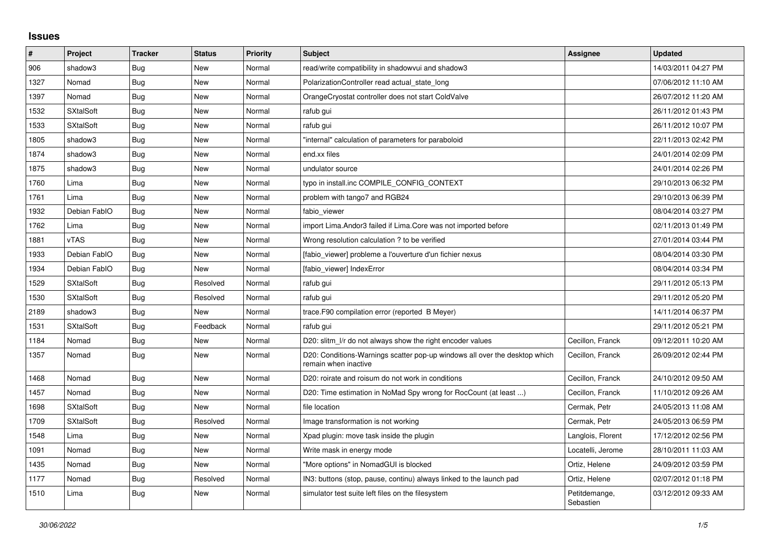## **Issues**

| #    | Project          | <b>Tracker</b> | <b>Status</b> | <b>Priority</b> | <b>Subject</b>                                                                                     | Assignee                   | <b>Updated</b>      |
|------|------------------|----------------|---------------|-----------------|----------------------------------------------------------------------------------------------------|----------------------------|---------------------|
| 906  | shadow3          | Bug            | New           | Normal          | read/write compatibility in shadowvui and shadow3                                                  |                            | 14/03/2011 04:27 PM |
| 1327 | Nomad            | <b>Bug</b>     | New           | Normal          | PolarizationController read actual_state_long                                                      |                            | 07/06/2012 11:10 AM |
| 1397 | Nomad            | <b>Bug</b>     | New           | Normal          | OrangeCryostat controller does not start ColdValve                                                 |                            | 26/07/2012 11:20 AM |
| 1532 | <b>SXtalSoft</b> | <b>Bug</b>     | <b>New</b>    | Normal          | rafub gui                                                                                          |                            | 26/11/2012 01:43 PM |
| 1533 | <b>SXtalSoft</b> | Bug            | New           | Normal          | rafub gui                                                                                          |                            | 26/11/2012 10:07 PM |
| 1805 | shadow3          | <b>Bug</b>     | New           | Normal          | "internal" calculation of parameters for paraboloid                                                |                            | 22/11/2013 02:42 PM |
| 1874 | shadow3          | <b>Bug</b>     | New           | Normal          | end.xx files                                                                                       |                            | 24/01/2014 02:09 PM |
| 1875 | shadow3          | <b>Bug</b>     | New           | Normal          | undulator source                                                                                   |                            | 24/01/2014 02:26 PM |
| 1760 | Lima             | Bug            | New           | Normal          | typo in install.inc COMPILE CONFIG CONTEXT                                                         |                            | 29/10/2013 06:32 PM |
| 1761 | Lima             | <b>Bug</b>     | New           | Normal          | problem with tango7 and RGB24                                                                      |                            | 29/10/2013 06:39 PM |
| 1932 | Debian FablO     | <b>Bug</b>     | <b>New</b>    | Normal          | fabio viewer                                                                                       |                            | 08/04/2014 03:27 PM |
| 1762 | Lima             | Bug            | New           | Normal          | import Lima.Andor3 failed if Lima.Core was not imported before                                     |                            | 02/11/2013 01:49 PM |
| 1881 | <b>vTAS</b>      | Bug            | New           | Normal          | Wrong resolution calculation ? to be verified                                                      |                            | 27/01/2014 03:44 PM |
| 1933 | Debian FablO     | <b>Bug</b>     | <b>New</b>    | Normal          | [fabio viewer] probleme a l'ouverture d'un fichier nexus                                           |                            | 08/04/2014 03:30 PM |
| 1934 | Debian FablO     | <b>Bug</b>     | New           | Normal          | [fabio viewer] IndexError                                                                          |                            | 08/04/2014 03:34 PM |
| 1529 | <b>SXtalSoft</b> | <b>Bug</b>     | Resolved      | Normal          | rafub gui                                                                                          |                            | 29/11/2012 05:13 PM |
| 1530 | <b>SXtalSoft</b> | <b>Bug</b>     | Resolved      | Normal          | rafub gui                                                                                          |                            | 29/11/2012 05:20 PM |
| 2189 | shadow3          | <b>Bug</b>     | New           | Normal          | trace. F90 compilation error (reported B Meyer)                                                    |                            | 14/11/2014 06:37 PM |
| 1531 | <b>SXtalSoft</b> | <b>Bug</b>     | Feedback      | Normal          | rafub qui                                                                                          |                            | 29/11/2012 05:21 PM |
| 1184 | Nomad            | Bug            | New           | Normal          | D20: slitm I/r do not always show the right encoder values                                         | Cecillon, Franck           | 09/12/2011 10:20 AM |
| 1357 | Nomad            | <b>Bug</b>     | New           | Normal          | D20: Conditions-Warnings scatter pop-up windows all over the desktop which<br>remain when inactive | Cecillon, Franck           | 26/09/2012 02:44 PM |
| 1468 | Nomad            | <b>Bug</b>     | <b>New</b>    | Normal          | D20: roirate and roisum do not work in conditions                                                  | Cecillon, Franck           | 24/10/2012 09:50 AM |
| 1457 | Nomad            | <b>Bug</b>     | New           | Normal          | D20: Time estimation in NoMad Spy wrong for RocCount (at least )                                   | Cecillon, Franck           | 11/10/2012 09:26 AM |
| 1698 | <b>SXtalSoft</b> | <b>Bug</b>     | <b>New</b>    | Normal          | file location                                                                                      | Cermak, Petr               | 24/05/2013 11:08 AM |
| 1709 | <b>SXtalSoft</b> | <b>Bug</b>     | Resolved      | Normal          | Image transformation is not working                                                                | Cermak, Petr               | 24/05/2013 06:59 PM |
| 1548 | Lima             | <b>Bug</b>     | New           | Normal          | Xpad plugin: move task inside the plugin                                                           | Langlois, Florent          | 17/12/2012 02:56 PM |
| 1091 | Nomad            | <b>Bug</b>     | <b>New</b>    | Normal          | Write mask in energy mode                                                                          | Locatelli, Jerome          | 28/10/2011 11:03 AM |
| 1435 | Nomad            | Bug            | New           | Normal          | 'More options" in NomadGUI is blocked                                                              | Ortiz, Helene              | 24/09/2012 03:59 PM |
| 1177 | Nomad            | <b>Bug</b>     | Resolved      | Normal          | IN3: buttons (stop, pause, continu) always linked to the launch pad                                | Ortiz, Helene              | 02/07/2012 01:18 PM |
| 1510 | Lima             | <b>Bug</b>     | <b>New</b>    | Normal          | simulator test suite left files on the filesystem                                                  | Petitdemange,<br>Sebastien | 03/12/2012 09:33 AM |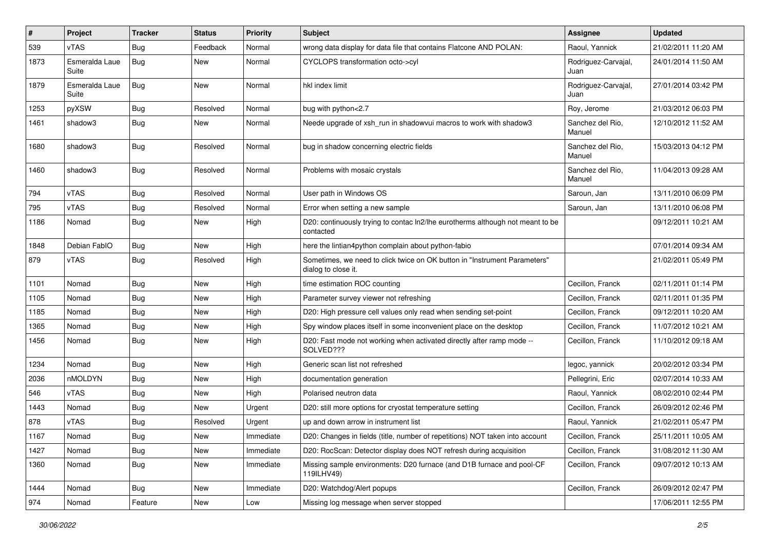| #    | Project                 | <b>Tracker</b> | <b>Status</b> | Priority  | <b>Subject</b>                                                                                   | Assignee                    | <b>Updated</b>      |
|------|-------------------------|----------------|---------------|-----------|--------------------------------------------------------------------------------------------------|-----------------------------|---------------------|
| 539  | vTAS                    | <b>Bug</b>     | Feedback      | Normal    | wrong data display for data file that contains Flatcone AND POLAN:                               | Raoul, Yannick              | 21/02/2011 11:20 AM |
| 1873 | Esmeralda Laue<br>Suite | <b>Bug</b>     | New           | Normal    | CYCLOPS transformation octo->cyl                                                                 | Rodriguez-Carvajal,<br>Juan | 24/01/2014 11:50 AM |
| 1879 | Esmeralda Laue<br>Suite | <b>Bug</b>     | New           | Normal    | hkl index limit                                                                                  | Rodriguez-Carvajal,<br>Juan | 27/01/2014 03:42 PM |
| 1253 | pyXSW                   | <b>Bug</b>     | Resolved      | Normal    | bug with python<2.7                                                                              | Roy, Jerome                 | 21/03/2012 06:03 PM |
| 1461 | shadow3                 | <b>Bug</b>     | New           | Normal    | Neede upgrade of xsh run in shadowvui macros to work with shadow3                                | Sanchez del Rio.<br>Manuel  | 12/10/2012 11:52 AM |
| 1680 | shadow3                 | <b>Bug</b>     | Resolved      | Normal    | bug in shadow concerning electric fields                                                         | Sanchez del Rio.<br>Manuel  | 15/03/2013 04:12 PM |
| 1460 | shadow3                 | Bug            | Resolved      | Normal    | Problems with mosaic crystals                                                                    | Sanchez del Rio.<br>Manuel  | 11/04/2013 09:28 AM |
| 794  | vTAS                    | <b>Bug</b>     | Resolved      | Normal    | User path in Windows OS                                                                          | Saroun, Jan                 | 13/11/2010 06:09 PM |
| 795  | vTAS                    | <b>Bug</b>     | Resolved      | Normal    | Error when setting a new sample                                                                  | Saroun, Jan                 | 13/11/2010 06:08 PM |
| 1186 | Nomad                   | <b>Bug</b>     | New           | High      | D20: continuously trying to contac ln2/lhe eurotherms although not meant to be<br>contacted      |                             | 09/12/2011 10:21 AM |
| 1848 | Debian FablO            | <b>Bug</b>     | New           | High      | here the lintian4python complain about python-fabio                                              |                             | 07/01/2014 09:34 AM |
| 879  | vTAS                    | Bug            | Resolved      | High      | Sometimes, we need to click twice on OK button in "Instrument Parameters"<br>dialog to close it. |                             | 21/02/2011 05:49 PM |
| 1101 | Nomad                   | <b>Bug</b>     | New           | High      | time estimation ROC counting                                                                     | Cecillon, Franck            | 02/11/2011 01:14 PM |
| 1105 | Nomad                   | Bug            | New           | High      | Parameter survey viewer not refreshing                                                           | Cecillon, Franck            | 02/11/2011 01:35 PM |
| 1185 | Nomad                   | <b>Bug</b>     | New           | High      | D20: High pressure cell values only read when sending set-point                                  | Cecillon, Franck            | 09/12/2011 10:20 AM |
| 1365 | Nomad                   | Bug            | New           | High      | Spy window places itself in some inconvenient place on the desktop                               | Cecillon, Franck            | 11/07/2012 10:21 AM |
| 1456 | Nomad                   | Bug            | New           | High      | D20: Fast mode not working when activated directly after ramp mode --<br>SOLVED???               | Cecillon, Franck            | 11/10/2012 09:18 AM |
| 1234 | Nomad                   | <b>Bug</b>     | New           | High      | Generic scan list not refreshed                                                                  | legoc, yannick              | 20/02/2012 03:34 PM |
| 2036 | nMOLDYN                 | Bug            | New           | High      | documentation generation                                                                         | Pellegrini, Eric            | 02/07/2014 10:33 AM |
| 546  | vTAS                    | Bug            | New           | High      | Polarised neutron data                                                                           | Raoul, Yannick              | 08/02/2010 02:44 PM |
| 1443 | Nomad                   | Bug            | New           | Urgent    | D20: still more options for cryostat temperature setting                                         | Cecillon, Franck            | 26/09/2012 02:46 PM |
| 878  | vTAS                    | <b>Bug</b>     | Resolved      | Urgent    | up and down arrow in instrument list                                                             | Raoul, Yannick              | 21/02/2011 05:47 PM |
| 1167 | Nomad                   | Bug            | New           | Immediate | D20: Changes in fields (title, number of repetitions) NOT taken into account                     | Cecillon, Franck            | 25/11/2011 10:05 AM |
| 1427 | Nomad                   | <b>Bug</b>     | New           | Immediate | D20: RocScan: Detector display does NOT refresh during acquisition                               | Cecillon, Franck            | 31/08/2012 11:30 AM |
| 1360 | Nomad                   | <b>Bug</b>     | New           | Immediate | Missing sample environments: D20 furnace (and D1B furnace and pool-CF<br>119ILHV49)              | Cecillon, Franck            | 09/07/2012 10:13 AM |
| 1444 | Nomad                   | Bug            | New           | Immediate | D20: Watchdog/Alert popups                                                                       | Cecillon, Franck            | 26/09/2012 02:47 PM |
| 974  | Nomad                   | Feature        | New           | Low       | Missing log message when server stopped                                                          |                             | 17/06/2011 12:55 PM |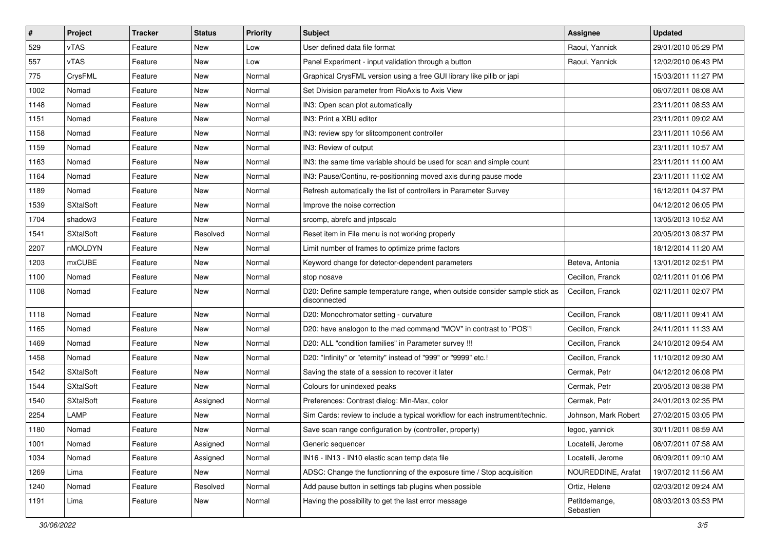| $\vert$ # | Project          | <b>Tracker</b> | <b>Status</b> | <b>Priority</b> | <b>Subject</b>                                                                              | Assignee                   | <b>Updated</b>      |
|-----------|------------------|----------------|---------------|-----------------|---------------------------------------------------------------------------------------------|----------------------------|---------------------|
| 529       | vTAS             | Feature        | New           | Low             | User defined data file format                                                               | Raoul, Yannick             | 29/01/2010 05:29 PM |
| 557       | <b>vTAS</b>      | Feature        | New           | Low             | Panel Experiment - input validation through a button                                        | Raoul, Yannick             | 12/02/2010 06:43 PM |
| 775       | CrysFML          | Feature        | New           | Normal          | Graphical CrysFML version using a free GUI library like pilib or japi                       |                            | 15/03/2011 11:27 PM |
| 1002      | Nomad            | Feature        | New           | Normal          | Set Division parameter from RioAxis to Axis View                                            |                            | 06/07/2011 08:08 AM |
| 1148      | Nomad            | Feature        | New           | Normal          | IN3: Open scan plot automatically                                                           |                            | 23/11/2011 08:53 AM |
| 1151      | Nomad            | Feature        | New           | Normal          | IN3: Print a XBU editor                                                                     |                            | 23/11/2011 09:02 AM |
| 1158      | Nomad            | Feature        | New           | Normal          | IN3: review spy for slitcomponent controller                                                |                            | 23/11/2011 10:56 AM |
| 1159      | Nomad            | Feature        | New           | Normal          | IN3: Review of output                                                                       |                            | 23/11/2011 10:57 AM |
| 1163      | Nomad            | Feature        | New           | Normal          | IN3: the same time variable should be used for scan and simple count                        |                            | 23/11/2011 11:00 AM |
| 1164      | Nomad            | Feature        | New           | Normal          | IN3: Pause/Continu, re-positionning moved axis during pause mode                            |                            | 23/11/2011 11:02 AM |
| 1189      | Nomad            | Feature        | New           | Normal          | Refresh automatically the list of controllers in Parameter Survey                           |                            | 16/12/2011 04:37 PM |
| 1539      | <b>SXtalSoft</b> | Feature        | New           | Normal          | Improve the noise correction                                                                |                            | 04/12/2012 06:05 PM |
| 1704      | shadow3          | Feature        | New           | Normal          | srcomp, abrefc and jntpscalc                                                                |                            | 13/05/2013 10:52 AM |
| 1541      | <b>SXtalSoft</b> | Feature        | Resolved      | Normal          | Reset item in File menu is not working properly                                             |                            | 20/05/2013 08:37 PM |
| 2207      | nMOLDYN          | Feature        | New           | Normal          | Limit number of frames to optimize prime factors                                            |                            | 18/12/2014 11:20 AM |
| 1203      | <b>mxCUBE</b>    | Feature        | New           | Normal          | Keyword change for detector-dependent parameters                                            | Beteva, Antonia            | 13/01/2012 02:51 PM |
| 1100      | Nomad            | Feature        | New           | Normal          | stop nosave                                                                                 | Cecillon, Franck           | 02/11/2011 01:06 PM |
| 1108      | Nomad            | Feature        | New           | Normal          | D20: Define sample temperature range, when outside consider sample stick as<br>disconnected | Cecillon, Franck           | 02/11/2011 02:07 PM |
| 1118      | Nomad            | Feature        | New           | Normal          | D20: Monochromator setting - curvature                                                      | Cecillon, Franck           | 08/11/2011 09:41 AM |
| 1165      | Nomad            | Feature        | New           | Normal          | D20: have analogon to the mad command "MOV" in contrast to "POS"!                           | Cecillon, Franck           | 24/11/2011 11:33 AM |
| 1469      | Nomad            | Feature        | New           | Normal          | D20: ALL "condition families" in Parameter survey !!!                                       | Cecillon, Franck           | 24/10/2012 09:54 AM |
| 1458      | Nomad            | Feature        | <b>New</b>    | Normal          | D20: "Infinity" or "eternity" instead of "999" or "9999" etc.!                              | Cecillon, Franck           | 11/10/2012 09:30 AM |
| 1542      | <b>SXtalSoft</b> | Feature        | New           | Normal          | Saving the state of a session to recover it later                                           | Cermak, Petr               | 04/12/2012 06:08 PM |
| 1544      | <b>SXtalSoft</b> | Feature        | New           | Normal          | Colours for unindexed peaks                                                                 | Cermak, Petr               | 20/05/2013 08:38 PM |
| 1540      | <b>SXtalSoft</b> | Feature        | Assigned      | Normal          | Preferences: Contrast dialog: Min-Max, color                                                | Cermak, Petr               | 24/01/2013 02:35 PM |
| 2254      | LAMP             | Feature        | New           | Normal          | Sim Cards: review to include a typical workflow for each instrument/technic.                | Johnson, Mark Robert       | 27/02/2015 03:05 PM |
| 1180      | Nomad            | Feature        | New           | Normal          | Save scan range configuration by (controller, property)                                     | legoc, yannick             | 30/11/2011 08:59 AM |
| 1001      | Nomad            | Feature        | Assigned      | Normal          | Generic sequencer                                                                           | Locatelli, Jerome          | 06/07/2011 07:58 AM |
| 1034      | Nomad            | Feature        | Assigned      | Normal          | IN16 - IN13 - IN10 elastic scan temp data file                                              | Locatelli, Jerome          | 06/09/2011 09:10 AM |
| 1269      | Lima             | Feature        | New           | Normal          | ADSC: Change the functionning of the exposure time / Stop acquisition                       | NOUREDDINE, Arafat         | 19/07/2012 11:56 AM |
| 1240      | Nomad            | Feature        | Resolved      | Normal          | Add pause button in settings tab plugins when possible                                      | Ortiz, Helene              | 02/03/2012 09:24 AM |
| 1191      | Lima             | Feature        | New           | Normal          | Having the possibility to get the last error message                                        | Petitdemange,<br>Sebastien | 08/03/2013 03:53 PM |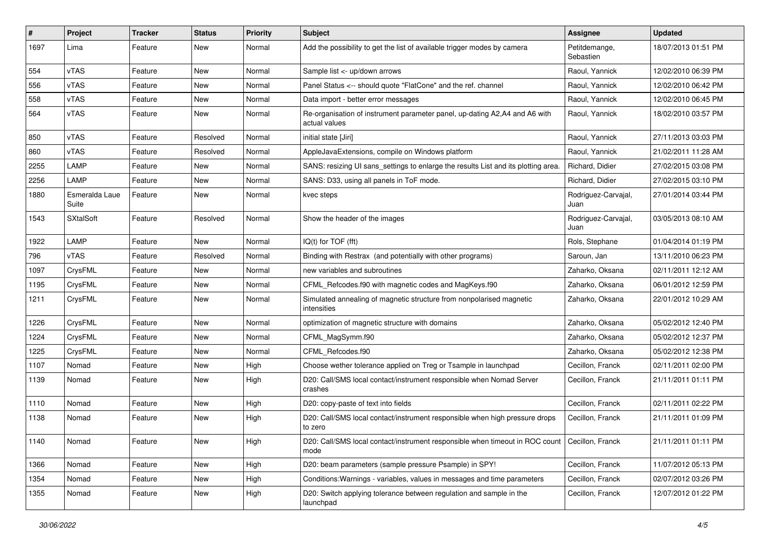| $\#$ | Project                 | <b>Tracker</b> | <b>Status</b> | <b>Priority</b> | <b>Subject</b>                                                                              | <b>Assignee</b>             | <b>Updated</b>      |
|------|-------------------------|----------------|---------------|-----------------|---------------------------------------------------------------------------------------------|-----------------------------|---------------------|
| 1697 | Lima                    | Feature        | New           | Normal          | Add the possibility to get the list of available trigger modes by camera                    | Petitdemange,<br>Sebastien  | 18/07/2013 01:51 PM |
| 554  | vTAS                    | Feature        | New           | Normal          | Sample list <- up/down arrows                                                               | Raoul, Yannick              | 12/02/2010 06:39 PM |
| 556  | vTAS                    | Feature        | New           | Normal          | Panel Status <-- should quote "FlatCone" and the ref. channel                               | Raoul, Yannick              | 12/02/2010 06:42 PM |
| 558  | vTAS                    | Feature        | New           | Normal          | Data import - better error messages                                                         | Raoul, Yannick              | 12/02/2010 06:45 PM |
| 564  | vTAS                    | Feature        | New           | Normal          | Re-organisation of instrument parameter panel, up-dating A2,A4 and A6 with<br>actual values | Raoul, Yannick              | 18/02/2010 03:57 PM |
| 850  | <b>vTAS</b>             | Feature        | Resolved      | Normal          | initial state [Jiri]                                                                        | Raoul, Yannick              | 27/11/2013 03:03 PM |
| 860  | vTAS                    | Feature        | Resolved      | Normal          | AppleJavaExtensions, compile on Windows platform                                            | Raoul, Yannick              | 21/02/2011 11:28 AM |
| 2255 | LAMP                    | Feature        | New           | Normal          | SANS: resizing UI sans_settings to enlarge the results List and its plotting area.          | Richard, Didier             | 27/02/2015 03:08 PM |
| 2256 | LAMP                    | Feature        | New           | Normal          | SANS: D33, using all panels in ToF mode.                                                    | Richard, Didier             | 27/02/2015 03:10 PM |
| 1880 | Esmeralda Laue<br>Suite | Feature        | New           | Normal          | kvec steps                                                                                  | Rodriguez-Carvajal,<br>Juan | 27/01/2014 03:44 PM |
| 1543 | <b>SXtalSoft</b>        | Feature        | Resolved      | Normal          | Show the header of the images                                                               | Rodriguez-Carvajal,<br>Juan | 03/05/2013 08:10 AM |
| 1922 | LAMP                    | Feature        | New           | Normal          | $IQ(t)$ for $TOF$ (fft)                                                                     | Rols, Stephane              | 01/04/2014 01:19 PM |
| 796  | vTAS                    | Feature        | Resolved      | Normal          | Binding with Restrax (and potentially with other programs)                                  | Saroun, Jan                 | 13/11/2010 06:23 PM |
| 1097 | CrysFML                 | Feature        | New           | Normal          | new variables and subroutines                                                               | Zaharko, Oksana             | 02/11/2011 12:12 AM |
| 1195 | CrysFML                 | Feature        | New           | Normal          | CFML Refcodes.f90 with magnetic codes and MagKeys.f90                                       | Zaharko, Oksana             | 06/01/2012 12:59 PM |
| 1211 | CrysFML                 | Feature        | New           | Normal          | Simulated annealing of magnetic structure from nonpolarised magnetic<br>intensities         | Zaharko, Oksana             | 22/01/2012 10:29 AM |
| 1226 | CrysFML                 | Feature        | New           | Normal          | optimization of magnetic structure with domains                                             | Zaharko, Oksana             | 05/02/2012 12:40 PM |
| 1224 | CrysFML                 | Feature        | New           | Normal          | CFML_MagSymm.f90                                                                            | Zaharko, Oksana             | 05/02/2012 12:37 PM |
| 1225 | CrysFML                 | Feature        | New           | Normal          | CFML_Refcodes.f90                                                                           | Zaharko, Oksana             | 05/02/2012 12:38 PM |
| 1107 | Nomad                   | Feature        | New           | High            | Choose wether tolerance applied on Treg or Tsample in launchpad                             | Cecillon, Franck            | 02/11/2011 02:00 PM |
| 1139 | Nomad                   | Feature        | New           | High            | D20: Call/SMS local contact/instrument responsible when Nomad Server<br>crashes             | Cecillon, Franck            | 21/11/2011 01:11 PM |
| 1110 | Nomad                   | Feature        | New           | High            | D20: copy-paste of text into fields                                                         | Cecillon, Franck            | 02/11/2011 02:22 PM |
| 1138 | Nomad                   | Feature        | New           | High            | D20: Call/SMS local contact/instrument responsible when high pressure drops<br>to zero      | Cecillon, Franck            | 21/11/2011 01:09 PM |
| 1140 | Nomad                   | Feature        | New           | High            | D20: Call/SMS local contact/instrument responsible when timeout in ROC count<br>mode        | Cecillon, Franck            | 21/11/2011 01:11 PM |
| 1366 | Nomad                   | Feature        | New           | High            | D20: beam parameters (sample pressure Psample) in SPY!                                      | Cecillon, Franck            | 11/07/2012 05:13 PM |
| 1354 | Nomad                   | Feature        | New           | High            | Conditions: Warnings - variables, values in messages and time parameters                    | Cecillon, Franck            | 02/07/2012 03:26 PM |
| 1355 | Nomad                   | Feature        | New           | High            | D20: Switch applying tolerance between regulation and sample in the<br>launchpad            | Cecillon, Franck            | 12/07/2012 01:22 PM |